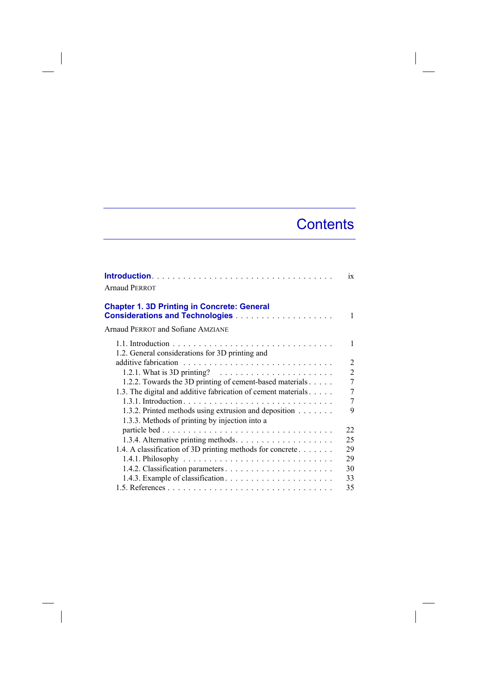## **Contents**

| <b>Arnaud PERROT</b>                                                    | $\overline{1}X$ |
|-------------------------------------------------------------------------|-----------------|
| <b>Chapter 1. 3D Printing in Concrete: General</b>                      | 1               |
| <b>Arnaud PERROT and Sofiane AMZIANE</b>                                |                 |
| 1.2. General considerations for 3D printing and                         | 1               |
|                                                                         | 2               |
| 1.2.1. What is 3D printing? $\ldots \ldots \ldots \ldots \ldots \ldots$ | $\overline{2}$  |
| 1.2.2. Towards the 3D printing of cement-based materials                | 7               |
| 1.3. The digital and additive fabrication of cement materials           | 7               |
|                                                                         | 7               |
| 1.3.2. Printed methods using extrusion and deposition                   | 9               |
| 1.3.3. Methods of printing by injection into a                          |                 |
|                                                                         | 22              |
|                                                                         | 25              |
| 1.4. A classification of 3D printing methods for concrete               | 29              |
|                                                                         | 29              |
|                                                                         | 30              |
|                                                                         | 33              |
|                                                                         | 35              |

 $\overline{\phantom{a}}$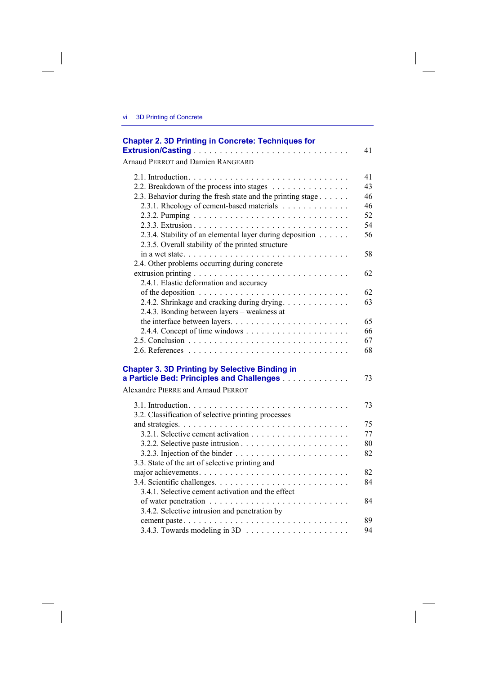$\overline{\phantom{a}}$ 

 $\overline{\phantom{a}}$ 

| <b>Chapter 2. 3D Printing in Concrete: Techniques for</b>                                                     | 41       |
|---------------------------------------------------------------------------------------------------------------|----------|
| Arnaud PERROT and Damien RANGEARD                                                                             |          |
| 2.2. Breakdown of the process into stages                                                                     | 41<br>43 |
| 2.3. Behavior during the fresh state and the printing stage<br>2.3.1. Rheology of cement-based materials      | 46<br>46 |
|                                                                                                               | 52<br>54 |
| 2.3.4. Stability of an elemental layer during deposition<br>2.3.5. Overall stability of the printed structure | 56       |
| in a wet state<br>2.4. Other problems occurring during concrete                                               | 58       |
| 2.4.1. Elastic deformation and accuracy                                                                       | 62       |
| 2.4.2. Shrinkage and cracking during drying.                                                                  | 62<br>63 |
| 2.4.3. Bonding between layers – weakness at                                                                   | 65       |
|                                                                                                               | 66       |
|                                                                                                               | 67<br>68 |
| <b>Chapter 3. 3D Printing by Selective Binding in</b><br>a Particle Bed: Principles and Challenges            | 73       |
| Alexandre PIERRE and Arnaud PERROT                                                                            |          |
| 3.2. Classification of selective printing processes                                                           | 73       |
|                                                                                                               | 75<br>77 |
|                                                                                                               | 80       |
| 3.3. State of the art of selective printing and                                                               | 82       |
|                                                                                                               | 82<br>84 |
| 3.4.1. Selective cement activation and the effect                                                             | 84       |
| 3.4.2. Selective intrusion and penetration by                                                                 |          |
|                                                                                                               | 89       |

3.4.3. Towards modeling in 3D . . . . . . . . . . . . . . . . . . . . 94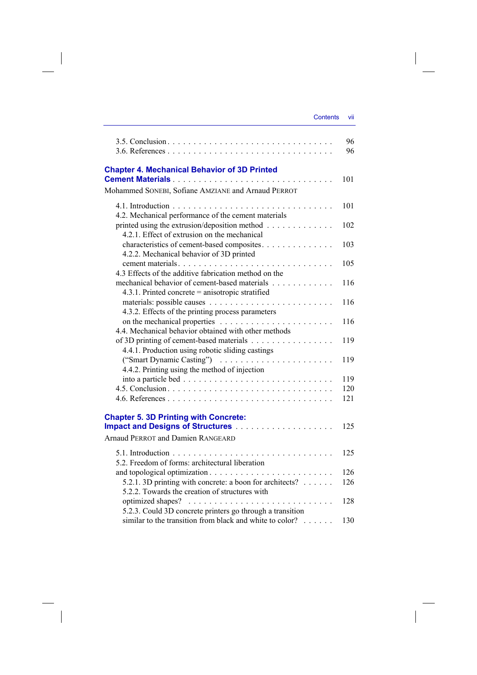| Contents | VII |
|----------|-----|
|          |     |

|                                                                                                                       | 96  |
|-----------------------------------------------------------------------------------------------------------------------|-----|
|                                                                                                                       | 96  |
| <b>Chapter 4. Mechanical Behavior of 3D Printed</b>                                                                   | 101 |
| Mohammed SONEBI, Sofiane AMZIANE and Arnaud PERROT                                                                    |     |
|                                                                                                                       | 101 |
| 4.2. Mechanical performance of the cement materials                                                                   |     |
| printed using the extrusion/deposition method<br>4.2.1. Effect of extrusion on the mechanical                         | 102 |
| characteristics of cement-based composites.                                                                           | 103 |
| 4.2.2. Mechanical behavior of 3D printed                                                                              |     |
| 4.3 Effects of the additive fabrication method on the                                                                 | 105 |
| mechanical behavior of cement-based materials<br>4.3.1. Printed concrete = anisotropic stratified                     | 116 |
|                                                                                                                       | 116 |
| 4.3.2. Effects of the printing process parameters                                                                     |     |
|                                                                                                                       | 116 |
| 4.4. Mechanical behavior obtained with other methods                                                                  |     |
| of 3D printing of cement-based materials                                                                              | 119 |
| 4.4.1. Production using robotic sliding castings                                                                      | 119 |
| 4.4.2. Printing using the method of injection                                                                         |     |
|                                                                                                                       | 119 |
|                                                                                                                       | 120 |
|                                                                                                                       | 121 |
|                                                                                                                       |     |
| <b>Chapter 5. 3D Printing with Concrete:</b>                                                                          | 125 |
| <b>Arnaud PERROT and Damien RANGEARD</b>                                                                              |     |
|                                                                                                                       |     |
| 5.2. Freedom of forms: architectural liberation                                                                       | 125 |
|                                                                                                                       | 126 |
| 5.2.1. 3D printing with concrete: a boon for architects?<br>5.2.2. Towards the creation of structures with            | 126 |
|                                                                                                                       | 128 |
| 5.2.3. Could 3D concrete printers go through a transition<br>similar to the transition from black and white to color? |     |
|                                                                                                                       | 130 |